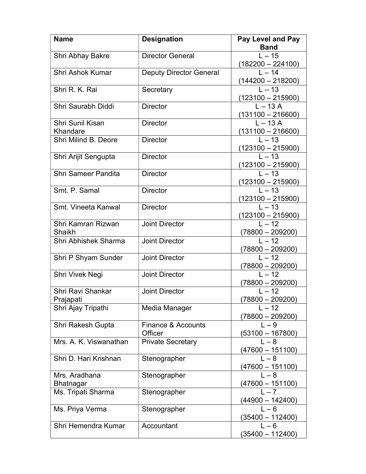| <b>Name</b>                       | <b>Designation</b>             | <b>Pay Level and Pay</b>             |
|-----------------------------------|--------------------------------|--------------------------------------|
|                                   |                                | <b>Band</b>                          |
| Shri Abhay Bakre                  | <b>Director General</b>        | $L - 15$<br>(182200 – 224100)        |
| <b>Shri Ashok Kumar</b>           | <b>Deputy Director General</b> | $L - 14$<br><u>(144200 – 218200)</u> |
| Shri R. K. Rai                    | Secretary                      | $L - 13$<br>$(123100 - 215900)$      |
| Shri Saurabh Diddi                | <b>Director</b>                | $L - 13A$<br>$(131100 - 216600)$     |
| Shri Sunil Kisan<br>Khandare      | <b>Director</b>                | $L - 13A$<br>$(131100 - 216600)$     |
| Shri Milind B. Deore              | <b>Director</b>                | $L - 13$<br><u>(123100 – 215900)</u> |
| Shri Arijit Sengupta              | <b>Director</b>                | $L - 13$<br>(123100 – 215900)        |
| <b>Shri Sameer Pandita</b>        | <b>Director</b>                | $L - 13$<br><u>(123100 – 215900)</u> |
| Smt. P. Samal                     | <b>Director</b>                | $L - 13$<br><u>(123100 – 215900)</u> |
| Smt. Vineeta Kanwal               | <b>Director</b>                | $L - 13$<br>(123100 – 215900)        |
| Shri Kamran Rizwan<br>Shaikh      | <b>Joint Director</b>          | $L - 12$<br>$(78800 - 209200)$       |
| Shri Abhishek Sharma              | <b>Joint Director</b>          | $I = 12$<br><u>(78800 – 209200)</u>  |
| Shri P Shyam Sunder               | <b>Joint Director</b>          | $L - 12$<br>$(78800 - 209200)$       |
| Shri Vivek Negi                   | <b>Joint Director</b>          | $L - 12$<br>(78800 – 209200)         |
| Shri Ravi Shankar<br>Prajapati    | <b>Joint Director</b>          | $L - 12$<br>$(78800 - 209200)$       |
| Shri Ajay Tripathi                | Media Manager                  | $L - 12$<br>$(78800 - 209200)$       |
| <b>Shri Rakesh Gupta</b>          | Finance & Accounts<br>Officer  | $L - 9$<br>$(53100 - 167800)$        |
| Mrs. A. K. Viswanathan            | <b>Private Secretary</b>       | $L - 8$<br><u>(47600 – 151100)</u>   |
| Shri D. Hari Krishnan             | Stenographer                   | $L - 8$<br>(47600 – 151100)          |
| Mrs. Aradhana<br><b>Bhatnagar</b> | Stenographer                   | $L - 8$<br>$(47600 - 151100)$        |
| Ms. Tripati Sharma                | Stenographer                   | $L - 7$<br><u>(44900 – 142400)</u>   |
| Ms. Priya Verma                   | Stenographer                   | $L - 6$<br><u> 35400 – 112400)</u>   |
| Shri Hemendra Kumar               | Accountant                     | $L - 6$<br>$(35400 - 112400)$        |